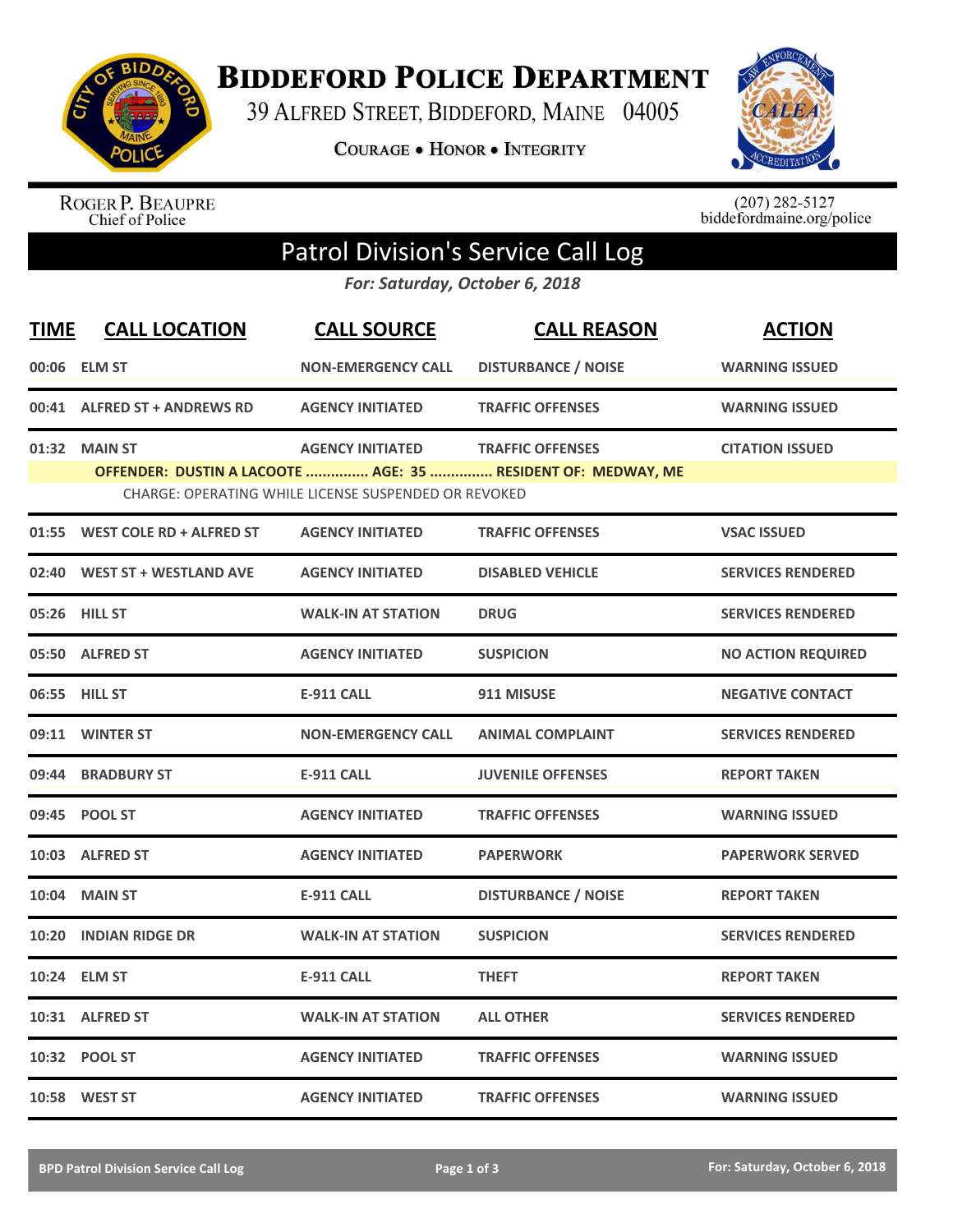

**BIDDEFORD POLICE DEPARTMENT** 

39 ALFRED STREET, BIDDEFORD, MAINE 04005

**COURAGE . HONOR . INTEGRITY** 



ROGER P. BEAUPRE<br>Chief of Police

 $(207)$  282-5127<br>biddefordmaine.org/police

## Patrol Division's Service Call Log

*For: Saturday, October 6, 2018*

| <b>TIME</b> | <b>CALL LOCATION</b>           | <b>CALL SOURCE</b>                                   | <b>CALL REASON</b>                                           | <b>ACTION</b>             |
|-------------|--------------------------------|------------------------------------------------------|--------------------------------------------------------------|---------------------------|
|             | 00:06 ELM ST                   | <b>NON-EMERGENCY CALL</b>                            | <b>DISTURBANCE / NOISE</b>                                   | <b>WARNING ISSUED</b>     |
|             | 00:41 ALFRED ST + ANDREWS RD   | <b>AGENCY INITIATED</b>                              | <b>TRAFFIC OFFENSES</b>                                      | <b>WARNING ISSUED</b>     |
|             | 01:32 MAIN ST                  | <b>AGENCY INITIATED</b>                              | <b>TRAFFIC OFFENSES</b>                                      | <b>CITATION ISSUED</b>    |
|             |                                | CHARGE: OPERATING WHILE LICENSE SUSPENDED OR REVOKED | OFFENDER: DUSTIN A LACOOTE  AGE: 35  RESIDENT OF: MEDWAY, ME |                           |
|             | 01:55 WEST COLE RD + ALFRED ST | <b>AGENCY INITIATED</b>                              | <b>TRAFFIC OFFENSES</b>                                      | <b>VSAC ISSUED</b>        |
| 02:40       | <b>WEST ST + WESTLAND AVE</b>  | <b>AGENCY INITIATED</b>                              | <b>DISABLED VEHICLE</b>                                      | <b>SERVICES RENDERED</b>  |
|             | 05:26 HILL ST                  | <b>WALK-IN AT STATION</b>                            | <b>DRUG</b>                                                  | <b>SERVICES RENDERED</b>  |
|             | 05:50 ALFRED ST                | <b>AGENCY INITIATED</b>                              | <b>SUSPICION</b>                                             | <b>NO ACTION REQUIRED</b> |
|             | 06:55 HILL ST                  | <b>E-911 CALL</b>                                    | 911 MISUSE                                                   | <b>NEGATIVE CONTACT</b>   |
|             | 09:11 WINTER ST                | <b>NON-EMERGENCY CALL</b>                            | <b>ANIMAL COMPLAINT</b>                                      | <b>SERVICES RENDERED</b>  |
|             | 09:44 BRADBURY ST              | <b>E-911 CALL</b>                                    | <b>JUVENILE OFFENSES</b>                                     | <b>REPORT TAKEN</b>       |
|             | 09:45 POOL ST                  | <b>AGENCY INITIATED</b>                              | <b>TRAFFIC OFFENSES</b>                                      | <b>WARNING ISSUED</b>     |
|             | 10:03 ALFRED ST                | <b>AGENCY INITIATED</b>                              | <b>PAPERWORK</b>                                             | <b>PAPERWORK SERVED</b>   |
| 10:04       | <b>MAIN ST</b>                 | <b>E-911 CALL</b>                                    | <b>DISTURBANCE / NOISE</b>                                   | <b>REPORT TAKEN</b>       |
| 10:20       | <b>INDIAN RIDGE DR</b>         | <b>WALK-IN AT STATION</b>                            | <b>SUSPICION</b>                                             | <b>SERVICES RENDERED</b>  |
|             | 10:24 ELM ST                   | <b>E-911 CALL</b>                                    | <b>THEFT</b>                                                 | <b>REPORT TAKEN</b>       |
|             | 10:31 ALFRED ST                | <b>WALK-IN AT STATION</b>                            | <b>ALL OTHER</b>                                             | <b>SERVICES RENDERED</b>  |
|             | 10:32 POOL ST                  | <b>AGENCY INITIATED</b>                              | <b>TRAFFIC OFFENSES</b>                                      | <b>WARNING ISSUED</b>     |
|             | 10:58 WEST ST                  | <b>AGENCY INITIATED</b>                              | <b>TRAFFIC OFFENSES</b>                                      | <b>WARNING ISSUED</b>     |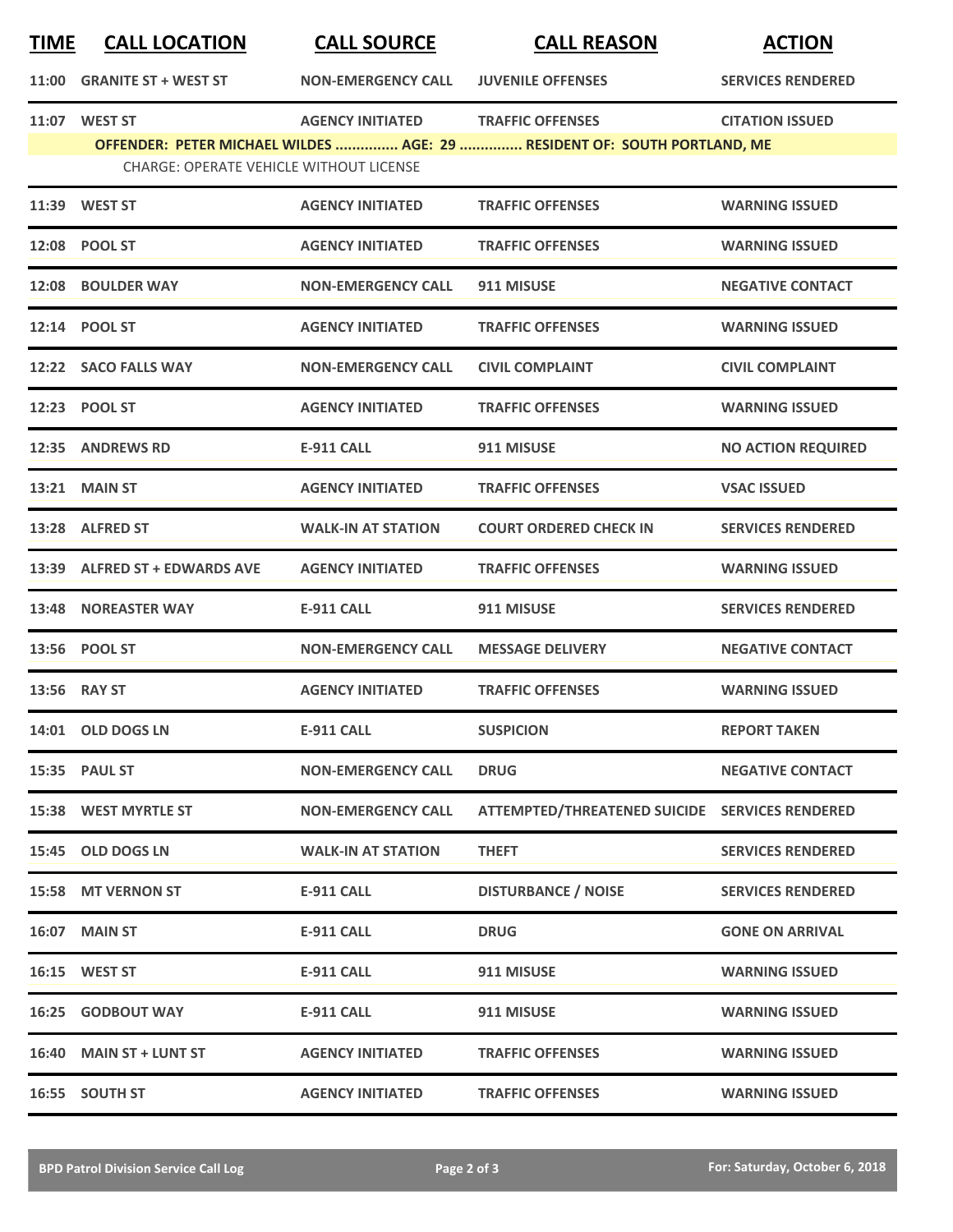| <b>TIME</b> | <b>CALL LOCATION</b>                           | <b>CALL SOURCE</b>        | <b>CALL REASON</b>                                                                                  | <b>ACTION</b>             |
|-------------|------------------------------------------------|---------------------------|-----------------------------------------------------------------------------------------------------|---------------------------|
| 11:00       | <b>GRANITE ST + WEST ST</b>                    | <b>NON-EMERGENCY CALL</b> | <b>JUVENILE OFFENSES</b>                                                                            | <b>SERVICES RENDERED</b>  |
|             | 11:07 WEST ST                                  | <b>AGENCY INITIATED</b>   | <b>TRAFFIC OFFENSES</b><br>OFFENDER: PETER MICHAEL WILDES  AGE: 29  RESIDENT OF: SOUTH PORTLAND, ME | <b>CITATION ISSUED</b>    |
|             | <b>CHARGE: OPERATE VEHICLE WITHOUT LICENSE</b> |                           |                                                                                                     |                           |
|             | 11:39 WEST ST                                  | <b>AGENCY INITIATED</b>   | <b>TRAFFIC OFFENSES</b>                                                                             | <b>WARNING ISSUED</b>     |
|             | 12:08 POOL ST                                  | <b>AGENCY INITIATED</b>   | <b>TRAFFIC OFFENSES</b>                                                                             | <b>WARNING ISSUED</b>     |
|             | 12:08 BOULDER WAY                              | <b>NON-EMERGENCY CALL</b> | 911 MISUSE                                                                                          | <b>NEGATIVE CONTACT</b>   |
|             | 12:14 POOL ST                                  | <b>AGENCY INITIATED</b>   | <b>TRAFFIC OFFENSES</b>                                                                             | <b>WARNING ISSUED</b>     |
|             | 12:22 SACO FALLS WAY                           | <b>NON-EMERGENCY CALL</b> | <b>CIVIL COMPLAINT</b>                                                                              | <b>CIVIL COMPLAINT</b>    |
|             | 12:23 POOL ST                                  | <b>AGENCY INITIATED</b>   | <b>TRAFFIC OFFENSES</b>                                                                             | <b>WARNING ISSUED</b>     |
|             | 12:35 ANDREWS RD                               | <b>E-911 CALL</b>         | 911 MISUSE                                                                                          | <b>NO ACTION REQUIRED</b> |
|             | <b>13:21 MAIN ST</b>                           | <b>AGENCY INITIATED</b>   | <b>TRAFFIC OFFENSES</b>                                                                             | <b>VSAC ISSUED</b>        |
|             | 13:28 ALFRED ST                                | <b>WALK-IN AT STATION</b> | <b>COURT ORDERED CHECK IN</b>                                                                       | <b>SERVICES RENDERED</b>  |
|             | 13:39 ALFRED ST + EDWARDS AVE                  | <b>AGENCY INITIATED</b>   | <b>TRAFFIC OFFENSES</b>                                                                             | <b>WARNING ISSUED</b>     |
| 13:48       | <b>NOREASTER WAY</b>                           | <b>E-911 CALL</b>         | 911 MISUSE                                                                                          | <b>SERVICES RENDERED</b>  |
|             | 13:56 POOL ST                                  | <b>NON-EMERGENCY CALL</b> | <b>MESSAGE DELIVERY</b>                                                                             | <b>NEGATIVE CONTACT</b>   |
|             | 13:56 RAY ST                                   | <b>AGENCY INITIATED</b>   | <b>TRAFFIC OFFENSES</b>                                                                             | <b>WARNING ISSUED</b>     |
|             | 14:01 OLD DOGS LN                              | E-911 CALL                | <b>SUSPICION</b>                                                                                    | <b>REPORT TAKEN</b>       |
|             | <b>15:35 PAUL ST</b>                           | <b>NON-EMERGENCY CALL</b> | <b>DRUG</b>                                                                                         | <b>NEGATIVE CONTACT</b>   |
|             | 15:38 WEST MYRTLE ST                           | <b>NON-EMERGENCY CALL</b> | ATTEMPTED/THREATENED SUICIDE SERVICES RENDERED                                                      |                           |
|             | 15:45 OLD DOGS LN                              | <b>WALK-IN AT STATION</b> | <b>THEFT</b>                                                                                        | <b>SERVICES RENDERED</b>  |
|             | 15:58 MT VERNON ST                             | <b>E-911 CALL</b>         | <b>DISTURBANCE / NOISE</b>                                                                          | <b>SERVICES RENDERED</b>  |
|             | 16:07 MAIN ST                                  | <b>E-911 CALL</b>         | <b>DRUG</b>                                                                                         | <b>GONE ON ARRIVAL</b>    |
|             | 16:15 WEST ST                                  | <b>E-911 CALL</b>         | 911 MISUSE                                                                                          | <b>WARNING ISSUED</b>     |
| 16:25       | <b>GODBOUT WAY</b>                             | <b>E-911 CALL</b>         | 911 MISUSE                                                                                          | <b>WARNING ISSUED</b>     |
|             | 16:40 MAIN ST + LUNT ST                        | <b>AGENCY INITIATED</b>   | <b>TRAFFIC OFFENSES</b>                                                                             | <b>WARNING ISSUED</b>     |
|             | 16:55 SOUTH ST                                 | <b>AGENCY INITIATED</b>   | <b>TRAFFIC OFFENSES</b>                                                                             | <b>WARNING ISSUED</b>     |